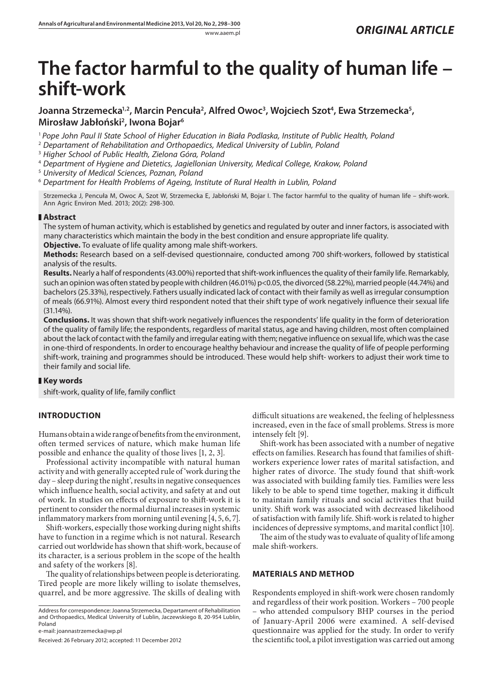# **The factor harmful to the quality of human life – shift-work**

# Joanna Strzemecka<sup>1,2</sup>, Marcin Pencuła<sup>2</sup>, Alfred Owoc<sup>3</sup>, Wojciech Szot<sup>4</sup>, Ewa Strzemecka<sup>5</sup>, **Mirosław Jabłoński2 , Iwona Bojar6**

<sup>1</sup> *Pope John Paul II State School of Higher Education in Biała Podlaska, Institute of Public Health, Poland*

2  *Departament of Rehabilitation and Orthopaedics, Medical University of Lublin, Poland*

3  *Higher School of Public Health, Zielona Góra, Poland*

4  *Department of Hygiene and Dietetics, Jagiellonian University, Medical College, Krakow, Poland*

5  *University of Medical Sciences, Poznan, Poland*

6  *Department for Health Problems of Ageing, Institute of Rural Health in Lublin, Poland*

Strzemecka J, Pencuła M, Owoc A, Szot W, Strzemecka E, Jabłoński M, Bojar I. The factor harmful to the quality of human life – shift-work. Ann Agric Environ Med. 2013; 20(2): 298-300.

## **Abstract**

The system of human activity, which is established by genetics and regulated by outer and inner factors, is associated with many characteristics which maintain the body in the best condition and ensure appropriate life quality.

**Objective.** To evaluate of life quality among male shift-workers.

**Methods:** Research based on a self-devised questionnaire, conducted among 700 shift-workers, followed by statistical analysis of the results.

**Results.** Nearly a half of respondents (43.00%) reported that shift-work influences the quality of their family life. Remarkably, such an opinion was often stated by people with children (46.01%) p<0.05, the divorced (58.22%), married people (44.74%) and bachelors (25.33%), respectively. Fathers usually indicated lack of contact with their family as well as irregular consumption of meals (66.91%). Almost every third respondent noted that their shift type of work negatively influence their sexual life  $(31.14\%)$ 

**Conclusions.** It was shown that shift-work negatively influences the respondents' life quality in the form of deterioration of the quality of family life; the respondents, regardless of marital status, age and having children, most often complained about the lack of contact with the family and irregular eating with them; negative influence on sexual life, which was the case in one-third of respondents. In order to encourage healthy behaviour and increase the quality of life of people performing shift-work, training and programmes should be introduced. These would help shift- workers to adjust their work time to their family and social life.

# **Key words**

shift-work, quality of life, family conflict

# **INTRODUCTION**

Humans obtain a wide range of benefits from the environment, often termed services of nature, which make human life possible and enhance the quality of those lives [1, 2, 3].

Professional activity incompatible with natural human activity and with generally accepted rule of 'work during the day – sleep during the night', results in negative consequences which influence health, social activity, and safety at and out of work. In studies on effects of exposure to shift-work it is pertinent to consider the normal diurnal increases in systemic inflammatory markers from morning until evening [4, 5, 6, 7].

Shift-workers, especially those working during night shifts have to function in a regime which is not natural. Research carried out worldwide has shown that shift-work, because of its character, is a serious problem in the scope of the health and safety of the workers [8].

The quality of relationships between people is deteriorating. Tired people are more likely willing to isolate themselves, quarrel, and be more aggressive. The skills of dealing with

Address for correspondence: Joanna Strzemecka, Departament of Rehabilitation and Orthopaedics, Medical University of Lublin, Jaczewskiego 8, 20-954 Lublin, Poland

e-mail: joannastrzemecka@wp.pl

Received: 26 February 2012; accepted: 11 December 2012

difficult situations are weakened, the feeling of helplessness increased, even in the face of small problems. Stress is more intensely felt [9].

Shift-work has been associated with a number of negative effects on families. Research has found that families of shiftworkers experience lower rates of marital satisfaction, and higher rates of divorce. The study found that shift-work was associated with building family ties. Families were less likely to be able to spend time together, making it difficult to maintain family rituals and social activities that build unity. Shift work was associated with decreased likelihood of satisfaction with family life. Shift-work is related to higher incidences of depressive symptoms, and marital conflict [10].

The aim of the study was to evaluate of quality of life among male shift-workers.

## **MATERIALS AND METHOD**

Respondents employed in shift-work were chosen randomly and regardless of their work position. Workers – 700 people – who attended compulsory BHP courses in the period of January-April 2006 were examined. A self-devised questionnaire was applied for the study. In order to verify the scientific tool, a pilot investigation was carried out among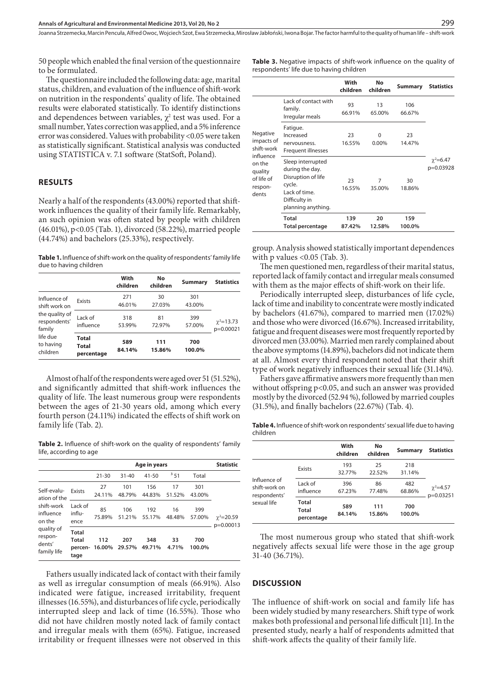Joanna Strzemecka, Marcin Pencuła, Alfred Owoc, Wojciech Szot, Ewa Strzemecka, Mirosław Jabłoński, Iwona Bojar . The factor harmful to the quality of human life – shift-work

50 people which enabled the final version of the questionnaire to be formulated.

The questionnaire included the following data: age, marital status, children, and evaluation of the influence of shift-work on nutrition in the respondents' quality of life. The obtained results were elaborated statistically. To identify distinctions and dependences between variables,  $\chi^2$  test was used. For a small number, Yates correction was applied, and a 5% inference error was considered. Values with probability <0.05 were taken as statistically significant. Statistical analysis was conducted using STATISTICA v. 7.1 software (StatSoft, Poland).

#### **RESULTS**

Nearly a half of the respondents (43.00%) reported that shiftwork influences the quality of their family life. Remarkably, an such opinion was often stated by people with children (46.01%), p<0.05 (Tab. 1), divorced (58.22%), married people (44.74%) and bachelors (25.33%), respectively.

Table 1. Influence of shift-work on the quality of respondents' family life due to having children

|                                                                                                                |                                     | With<br>children | No<br>children | Summary       | <b>Statistics</b>               |
|----------------------------------------------------------------------------------------------------------------|-------------------------------------|------------------|----------------|---------------|---------------------------------|
| Influence of<br>shift work on<br>the quality of<br>respondents'<br>family<br>life due<br>to having<br>children | Exists                              | 271<br>46.01%    | 30<br>27.03%   | 301<br>43.00% |                                 |
|                                                                                                                | Lack of<br>influence                | 318<br>53.99%    | 81<br>72.97%   | 399<br>57.00% | $\gamma^2 = 13.73$<br>p=0.00021 |
|                                                                                                                | <b>Total</b><br>Total<br>percentage | 589<br>84.14%    | 111<br>15.86%  | 700<br>100.0% |                                 |

Almost of half of the respondents were aged over 51 (51.52%), and significantly admitted that shift-work influences the quality of life. The least numerous group were respondents between the ages of 21-30 years old, among which every fourth person (24.11%) indicated the effects of shift work on family life (Tab. 2).

**Table 2.** Influence of shift-work on the quality of respondents' family life, according to age

|                                                                                                                    |                                   | Age in years  |               |               |              | <b>Statistic</b> |                                   |
|--------------------------------------------------------------------------------------------------------------------|-----------------------------------|---------------|---------------|---------------|--------------|------------------|-----------------------------------|
|                                                                                                                    |                                   | $21 - 30$     | $31 - 40$     | $41 - 50$     | 351          | Total            |                                   |
| Self-evalu-<br>ation of the<br>shift-work<br>influence<br>on the<br>quality of<br>respon-<br>dents'<br>family life | Exists                            | 27<br>24.11%  | 101<br>48.79% | 156<br>44.83% | 17<br>51.52% | 301<br>43.00%    |                                   |
|                                                                                                                    | Lack of<br>influ-<br>ence         | 85<br>75.89%  | 106<br>51.21% | 192<br>55.17% | 16<br>48.48% | 399<br>57.00%    | $\gamma^2 = 20.59$<br>$p=0.00013$ |
|                                                                                                                    | Total<br>Total<br>percen-<br>tage | 112<br>16.00% | 207<br>29.57% | 348<br>49.71% | 33<br>4.71%  | 700<br>100.0%    |                                   |

Fathers usually indicated lack of contact with their family as well as irregular consumption of meals (66.91%). Also indicated were fatigue, increased irritability, frequent illnesses (16.55%), and disturbances of life cycle, periodically interrupted sleep and lack of time (16.55%). Those who did not have children mostly noted lack of family contact and irregular meals with them (65%). Fatigue, increased irritability or frequent illnesses were not observed in this

**Table 3.** Negative impacts of shift-work influence on the quality of respondents' life due to having children

|                                                                                                          |                                                                                                                              | With<br>children | No<br>children    | Summary       | <b>Statistics</b>              |
|----------------------------------------------------------------------------------------------------------|------------------------------------------------------------------------------------------------------------------------------|------------------|-------------------|---------------|--------------------------------|
|                                                                                                          | Lack of contact with<br>family.<br>Irregular meals                                                                           | 93<br>66.91%     | 13<br>65.00%      | 106<br>66.67% |                                |
| Negative<br>impacts of<br>shift-work<br>influence<br>on the<br>quality<br>of life of<br>respon-<br>dents | Fatigue.<br>Increased<br>nervousness.<br>Frequent illnesses                                                                  | 23<br>16.55%     | $\Omega$<br>0.00% | 23<br>14.47%  | $\gamma^2 = 6.47$<br>p=0.03928 |
|                                                                                                          | Sleep interrupted<br>during the day.<br>Disruption of life<br>cycle.<br>Lack of time.<br>Difficulty in<br>planning anything. | 23<br>16.55%     | 7<br>35.00%       | 30<br>18.86%  |                                |
|                                                                                                          | Total<br><b>Total percentage</b>                                                                                             | 139<br>87.42%    | 20<br>12.58%      | 159<br>100.0% |                                |

group. Analysis showed statistically important dependences with p values <0.05 (Tab. 3).

The men questioned men, regardless of their marital status, reported lack of family contact and irregular meals consumed with them as the major effects of shift-work on their life.

Periodically interrupted sleep, disturbances of life cycle, lack of time and inability to concentrate were mostly indicated by bachelors (41.67%), compared to married men (17.02%) and those who were divorced (16.67%). Increased irritability, fatigue and frequent diseases were most frequently reported by divorced men (33.00%). Married men rarely complained about the above symptoms (14.89%), bachelors did not indicate them at all. Almost every third respondent noted that their shift type of work negatively influences their sexual life (31.14%).

Fathers gave affirmative answers more frequently than men without offspring p<0.05, and such an answer was provided mostly by the divorced (52.94 %), followed by married couples (31.5%), and finally bachelors (22.67%) (Tab. 4).

**Table 4.** Influence of shift-work on respondents' sexual life due to having children

|                                                              |                              | With<br>children | No<br>children | Summary       | <b>Statistics</b>           |  |
|--------------------------------------------------------------|------------------------------|------------------|----------------|---------------|-----------------------------|--|
|                                                              | Exists                       | 193<br>32.77%    | 25<br>22.52%   | 218<br>31.14% |                             |  |
| Influence of<br>shift-work on<br>respondents'<br>sexual life | Lack of<br>influence         | 396<br>67.23%    | 86<br>77.48%   | 482<br>68.86% | $\chi^2$ =4.57<br>p=0.03251 |  |
|                                                              | Total<br>Total<br>percentage | 589<br>84.14%    | 111<br>15.86%  | 700<br>100.0% |                             |  |

The most numerous group who stated that shift-work negatively affects sexual life were those in the age group 31-40 (36.71%).

#### **DISCUSSION**

The influence of shift-work on social and family life has been widely studied by many researchers. Shift type of work makes both professional and personal life difficult [11]. In the presented study, nearly a half of respondents admitted that shift-work affects the quality of their family life.